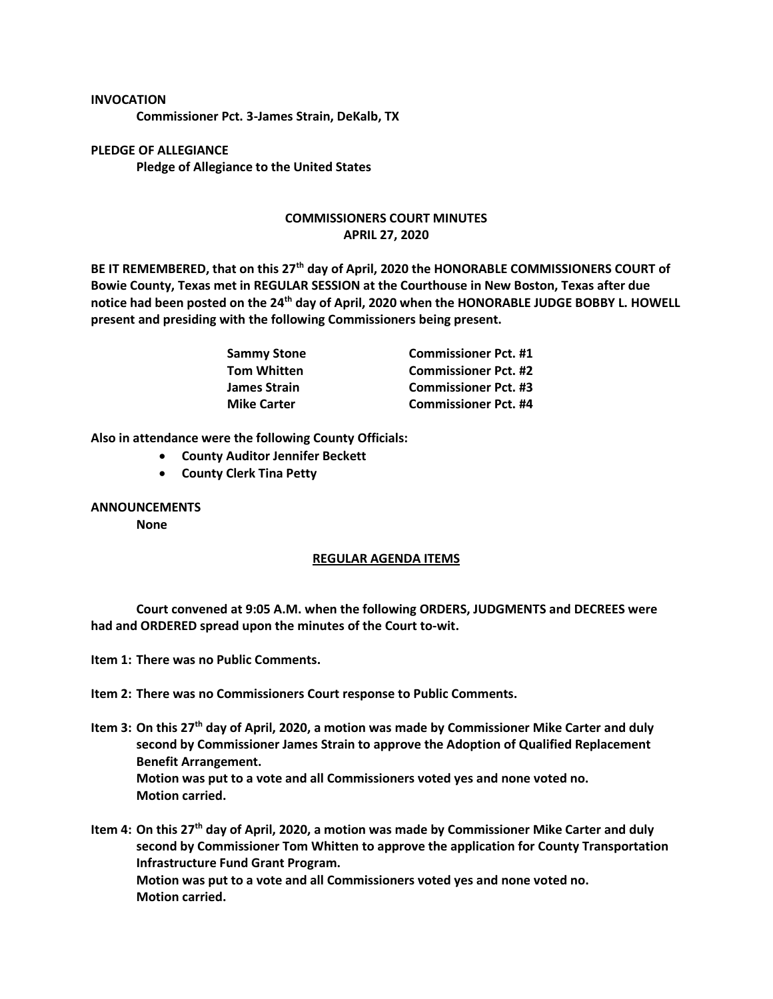## **INVOCATION**

**Commissioner Pct. 3-James Strain, DeKalb, TX**

**PLEDGE OF ALLEGIANCE Pledge of Allegiance to the United States**

## **COMMISSIONERS COURT MINUTES APRIL 27, 2020**

**BE IT REMEMBERED, that on this 27th day of April, 2020 the HONORABLE COMMISSIONERS COURT of Bowie County, Texas met in REGULAR SESSION at the Courthouse in New Boston, Texas after due notice had been posted on the 24th day of April, 2020 when the HONORABLE JUDGE BOBBY L. HOWELL present and presiding with the following Commissioners being present.**

| Sammy Stone<br>Tom Whitten | <b>Commissioner Pct. #1</b> |
|----------------------------|-----------------------------|
|                            | <b>Commissioner Pct. #2</b> |
| James Strain               | <b>Commissioner Pct. #3</b> |
| <b>Mike Carter</b>         | <b>Commissioner Pct. #4</b> |

**Also in attendance were the following County Officials:**

- **County Auditor Jennifer Beckett**
- **County Clerk Tina Petty**

## **ANNOUNCEMENTS**

**None**

## **REGULAR AGENDA ITEMS**

**Court convened at 9:05 A.M. when the following ORDERS, JUDGMENTS and DECREES were had and ORDERED spread upon the minutes of the Court to-wit.**

**Item 1: There was no Public Comments.**

**Item 2: There was no Commissioners Court response to Public Comments.**

**Item 3: On this 27th day of April, 2020, a motion was made by Commissioner Mike Carter and duly second by Commissioner James Strain to approve the Adoption of Qualified Replacement Benefit Arrangement. Motion was put to a vote and all Commissioners voted yes and none voted no. Motion carried.**

**Item 4: On this 27th day of April, 2020, a motion was made by Commissioner Mike Carter and duly second by Commissioner Tom Whitten to approve the application for County Transportation Infrastructure Fund Grant Program. Motion was put to a vote and all Commissioners voted yes and none voted no. Motion carried.**